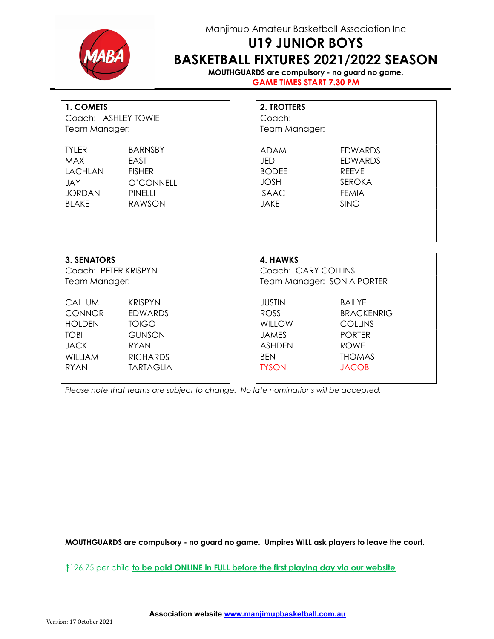

## Manjimup Amateur Basketball Association Inc

# U19 JUNIOR BOYS BASKETBALL FIXTURES 2021/2022 SEASON

MOUTHGUARDS are compulsory - no guard no game. GAME TIMES START 7.30 PM

| 1. COMETS<br>Coach: ASHLEY TOWIE<br>Team Manager:                                                              |                                                                                                                         | 2. TROTTERS<br>Coach:<br>Team Manager:                                                                       |                                                                                                                       |  |  |
|----------------------------------------------------------------------------------------------------------------|-------------------------------------------------------------------------------------------------------------------------|--------------------------------------------------------------------------------------------------------------|-----------------------------------------------------------------------------------------------------------------------|--|--|
| <b>TYLER</b><br><b>MAX</b><br><b>LACHLAN</b><br><b>JAY</b><br><b>JORDAN</b><br><b>BLAKE</b>                    | <b>BARNSBY</b><br>EAST<br><b>FISHER</b><br>O'CONNELL<br><b>PINELLI</b><br><b>RAWSON</b>                                 | <b>ADAM</b><br>JED<br><b>BODEE</b><br><b>JOSH</b><br><b>ISAAC</b><br><b>JAKE</b>                             | <b>EDWARDS</b><br><b>EDWARDS</b><br><b>RFFVF</b><br><b>SEROKA</b><br><b>FEMIA</b><br><b>SING</b>                      |  |  |
| <b>3. SENATORS</b>                                                                                             |                                                                                                                         | 4. HAWKS                                                                                                     |                                                                                                                       |  |  |
| Coach: PETER KRISPYN<br>Team Manager:                                                                          |                                                                                                                         | Coach: GARY COLLINS<br>Team Manager: SONIA PORTER                                                            |                                                                                                                       |  |  |
| <b>CALLUM</b><br><b>CONNOR</b><br><b>HOLDEN</b><br><b>TOBI</b><br><b>JACK</b><br><b>WILLIAM</b><br><b>RYAN</b> | <b>KRISPYN</b><br><b>EDWARDS</b><br><b>TOIGO</b><br><b>GUNSON</b><br><b>RYAN</b><br><b>RICHARDS</b><br><b>TARTAGLIA</b> | <b>JUSTIN</b><br><b>ROSS</b><br><b>WILLOW</b><br><b>JAMES</b><br><b>ASHDEN</b><br><b>BEN</b><br><b>TYSON</b> | <b>BAILYE</b><br><b>BRACKENRIG</b><br><b>COLLINS</b><br><b>PORTER</b><br><b>ROWE</b><br><b>THOMAS</b><br><b>JACOB</b> |  |  |

Please note that teams are subject to change. No late nominations will be accepted.

MOUTHGUARDS are compulsory - no guard no game. Umpires WILL ask players to leave the court.

\$126.75 per child to be paid ONLINE in FULL before the first playing day via our website